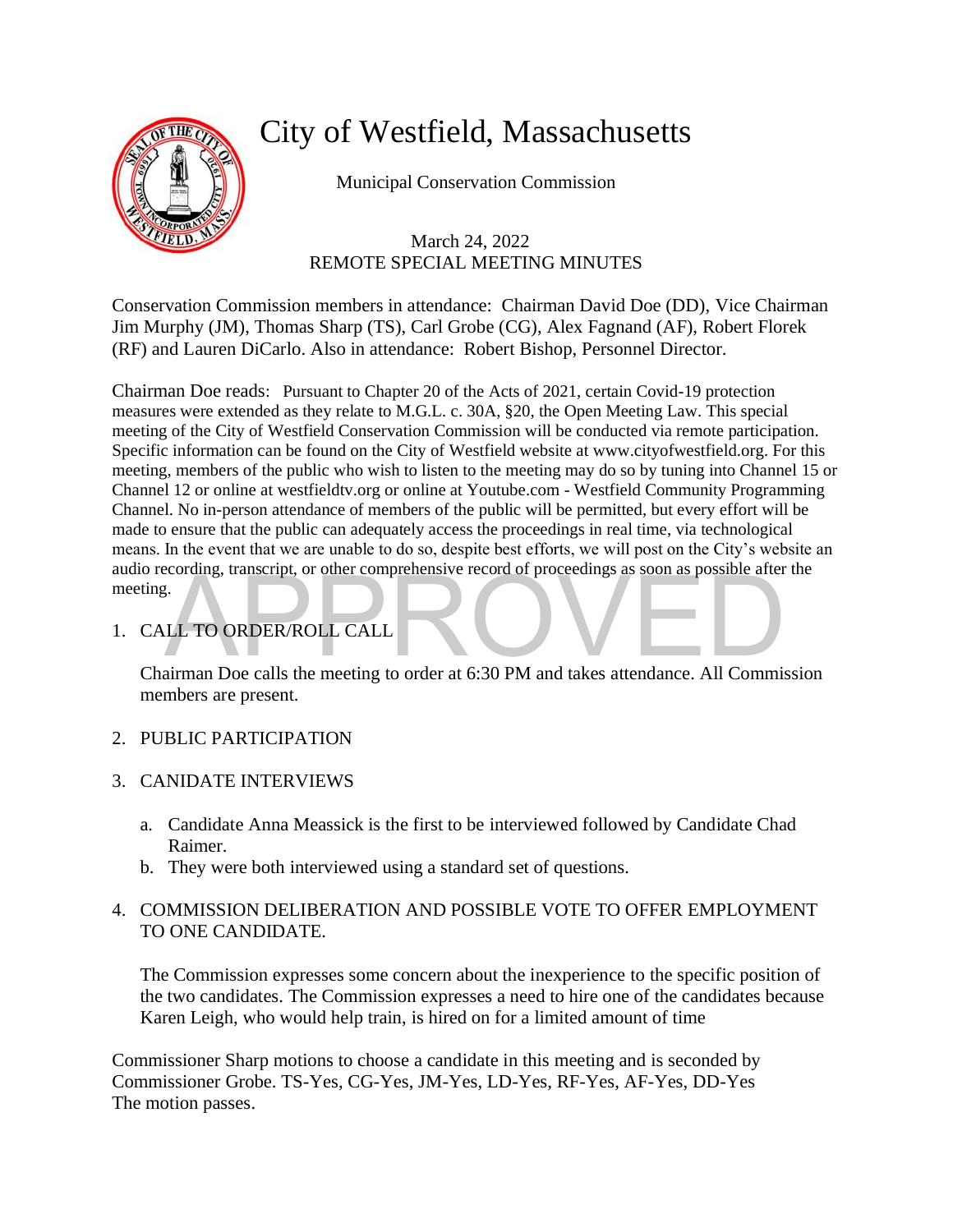

## City of Westfield, Massachusetts

Municipal Conservation Commission

## March 24, 2022 REMOTE SPECIAL MEETING MINUTES

Conservation Commission members in attendance: Chairman David Doe (DD), Vice Chairman Jim Murphy (JM), Thomas Sharp (TS), Carl Grobe (CG), Alex Fagnand (AF), Robert Florek (RF) and Lauren DiCarlo. Also in attendance: Robert Bishop, Personnel Director.

CALL TO ORDER/ROLL CALL<br>CALL TO ORDER/ROLL CALL<br>Chairman Doe calls the meeting to order at 6:30 PM and takes attendance. All Commission Chairman Doe reads: Pursuant to Chapter 20 of the Acts of 2021, certain Covid-19 protection measures were extended as they relate to M.G.L. c. 30A, §20, the Open Meeting Law. This special meeting of the City of Westfield Conservation Commission will be conducted via remote participation. Specific information can be found on the City of Westfield website at www.cityofwestfield.org. For this meeting, members of the public who wish to listen to the meeting may do so by tuning into Channel 15 or Channel 12 or online at westfieldtv.org or online at Youtube.com - Westfield Community Programming Channel. No in-person attendance of members of the public will be permitted, but every effort will be made to ensure that the public can adequately access the proceedings in real time, via technological means. In the event that we are unable to do so, despite best efforts, we will post on the City's website an audio recording, transcript, or other comprehensive record of proceedings as soon as possible after the meeting.

1. CALL TO ORDER/ROLL CALL

members are present.

- 2. PUBLIC PARTICIPATION
- 3. CANIDATE INTERVIEWS
	- a. Candidate Anna Meassick is the first to be interviewed followed by Candidate Chad Raimer.
	- b. They were both interviewed using a standard set of questions.

## 4. COMMISSION DELIBERATION AND POSSIBLE VOTE TO OFFER EMPLOYMENT TO ONE CANDIDATE.

The Commission expresses some concern about the inexperience to the specific position of the two candidates. The Commission expresses a need to hire one of the candidates because Karen Leigh, who would help train, is hired on for a limited amount of time

Commissioner Sharp motions to choose a candidate in this meeting and is seconded by Commissioner Grobe. TS-Yes, CG-Yes, JM-Yes, LD-Yes, RF-Yes, AF-Yes, DD-Yes The motion passes.